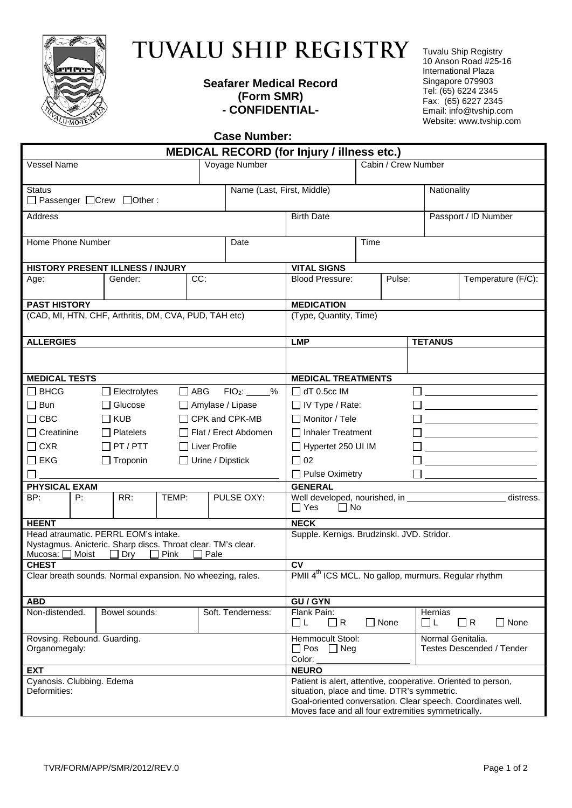

## TUVALU SHIP REGISTRY

## **Seafarer Medical Record (Form SMR) - CONFIDENTIAL-**

Tuvalu Ship Registry 10 Anson Road #25-16 International Plaza Singapore 079903 Tel: (65) 6224 2345 Fax: (65) 6227 2345 Email: info@tvship.com Website: www.tvship.com

**Case Number:** 

| <b>MEDICAL RECORD (for Injury / illness etc.)</b>                                                    |                                                                               |             |                                                               |                                                                                                                                               |             |        |                      |          |             |  |
|------------------------------------------------------------------------------------------------------|-------------------------------------------------------------------------------|-------------|---------------------------------------------------------------|-----------------------------------------------------------------------------------------------------------------------------------------------|-------------|--------|----------------------|----------|-------------|--|
| <b>Vessel Name</b>                                                                                   |                                                                               |             | Voyage Number                                                 | Cabin / Crew Number                                                                                                                           |             |        |                      |          |             |  |
| <b>Status</b><br>□ Passenger □ Crew □ Other:                                                         |                                                                               |             | Name (Last, First, Middle)                                    |                                                                                                                                               |             |        | Nationality          |          |             |  |
| Address                                                                                              |                                                                               |             |                                                               | <b>Birth Date</b>                                                                                                                             |             |        | Passport / ID Number |          |             |  |
| Home Phone Number                                                                                    |                                                                               |             | Date                                                          | Time                                                                                                                                          |             |        |                      |          |             |  |
|                                                                                                      |                                                                               |             |                                                               |                                                                                                                                               |             |        |                      |          |             |  |
| HISTORY PRESENT ILLNESS / INJURY                                                                     |                                                                               |             | <b>VITAL SIGNS</b>                                            |                                                                                                                                               |             |        |                      |          |             |  |
| Age:                                                                                                 | Gender:                                                                       | CC:         |                                                               | <b>Blood Pressure:</b>                                                                                                                        |             | Pulse: | Temperature (F/C):   |          |             |  |
| <b>PAST HISTORY</b>                                                                                  |                                                                               |             |                                                               | <b>MEDICATION</b>                                                                                                                             |             |        |                      |          |             |  |
| (CAD, MI, HTN, CHF, Arthritis, DM, CVA, PUD, TAH etc)                                                |                                                                               |             |                                                               | (Type, Quantity, Time)                                                                                                                        |             |        |                      |          |             |  |
| <b>ALLERGIES</b>                                                                                     |                                                                               |             |                                                               | <b>LMP</b>                                                                                                                                    |             |        | <b>TETANUS</b>       |          |             |  |
|                                                                                                      |                                                                               |             |                                                               |                                                                                                                                               |             |        |                      |          |             |  |
| <b>MEDICAL TESTS</b>                                                                                 |                                                                               |             |                                                               | <b>MEDICAL TREATMENTS</b>                                                                                                                     |             |        |                      |          |             |  |
| $\Box$ BHCG<br>$\Box$ ABG FIO <sub>2</sub> : %<br>$\Box$ Electrolytes                                |                                                                               |             |                                                               | $\Box$ dT 0.5cc IM                                                                                                                            |             |        |                      |          |             |  |
| $\Box$ Bun<br>$\Box$ Glucose<br>$\Box$ Amylase / Lipase                                              |                                                                               |             |                                                               | $\Box$ IV Type / Rate:                                                                                                                        |             |        |                      |          |             |  |
| $\Box$ CBC<br>$\Box$ KUB<br>$\Box$ CPK and CPK-MB                                                    |                                                                               |             |                                                               | <u> 1980 - Jan Stein Stein Stein Stein Stein Stein Stein Stein Stein Stein Stein Stein Stein Stein Stein Stein S</u><br>$\Box$ Monitor / Tele |             |        |                      |          |             |  |
| $\Box$ Creatinine<br>$\Box$ Platelets<br>$\Box$ Flat / Erect Abdomen                                 |                                                                               |             |                                                               | □ Inhaler Treatment                                                                                                                           |             |        |                      |          |             |  |
| $\Box$ CXR<br>$\Box$ PT / PTT<br>$\Box$ Liver Profile                                                |                                                                               |             | Hypertet 250 UI IM<br><u> 1980 - Johann Barbara, martin a</u> |                                                                                                                                               |             |        |                      |          |             |  |
| $\square$ EKG<br>$\Box$ Urine / Dipstick<br>$\Box$ Troponin                                          |                                                                               |             | $\Box$ 02                                                     |                                                                                                                                               |             |        |                      |          |             |  |
|                                                                                                      |                                                                               |             |                                                               | Pulse Oximetry                                                                                                                                |             |        |                      |          |             |  |
| <b>PHYSICAL EXAM</b>                                                                                 |                                                                               |             |                                                               | <b>GENERAL</b>                                                                                                                                |             |        |                      |          |             |  |
| BP:<br>P:                                                                                            | RR:                                                                           | TEMP:       | PULSE OXY:                                                    | Well developed, nourished, in<br>$\Box$ Yes<br>$\Box$ No                                                                                      |             |        |                      |          | distress.   |  |
| <b>HEENT</b>                                                                                         |                                                                               |             |                                                               | <b>NECK</b>                                                                                                                                   |             |        |                      |          |             |  |
| Head atraumatic. PERRL EOM's intake.<br>Nystagmus. Anicteric. Sharp discs. Throat clear. TM's clear. | Supple. Kernigs. Brudzinski. JVD. Stridor.                                    |             |                                                               |                                                                                                                                               |             |        |                      |          |             |  |
| Mucosa: □ Moist                                                                                      | $\Box$ Dry<br>$\Box$ Pink                                                     | $\Box$ Pale |                                                               |                                                                                                                                               |             |        |                      |          |             |  |
| <b>CHEST</b><br>Clear breath sounds. Normal expansion. No wheezing, rales.                           | <b>CV</b><br>PMII 4 <sup>th</sup> ICS MCL. No gallop, murmurs. Regular rhythm |             |                                                               |                                                                                                                                               |             |        |                      |          |             |  |
|                                                                                                      |                                                                               |             |                                                               |                                                                                                                                               |             |        |                      |          |             |  |
| <b>ABD</b>                                                                                           |                                                                               |             |                                                               | <b>GU/GYN</b>                                                                                                                                 |             |        |                      |          |             |  |
| Non-distended.                                                                                       | Bowel sounds:                                                                 |             | Soft. Tenderness:                                             | Flank Pain:<br>□ L<br>$\Box$ R                                                                                                                | $\Box$ None |        | Hernias<br>ΠL        | $\Box$ R | $\Box$ None |  |
| Rovsing. Rebound. Guarding.<br>Organomegaly:                                                         |                                                                               |             |                                                               | Normal Genitalia.<br>Hemmocult Stool:<br>$\Box$ Pos $\Box$ Neg<br><b>Testes Descended / Tender</b><br>Color:                                  |             |        |                      |          |             |  |
| <b>EXT</b>                                                                                           | <b>NEURO</b>                                                                  |             |                                                               |                                                                                                                                               |             |        |                      |          |             |  |
| Cyanosis. Clubbing. Edema                                                                            |                                                                               |             |                                                               | Patient is alert, attentive, cooperative. Oriented to person,                                                                                 |             |        |                      |          |             |  |
| Deformities:                                                                                         |                                                                               |             |                                                               | situation, place and time. DTR's symmetric.<br>Goal-oriented conversation. Clear speech. Coordinates well.                                    |             |        |                      |          |             |  |
|                                                                                                      |                                                                               |             |                                                               | Moves face and all four extremities symmetrically.                                                                                            |             |        |                      |          |             |  |